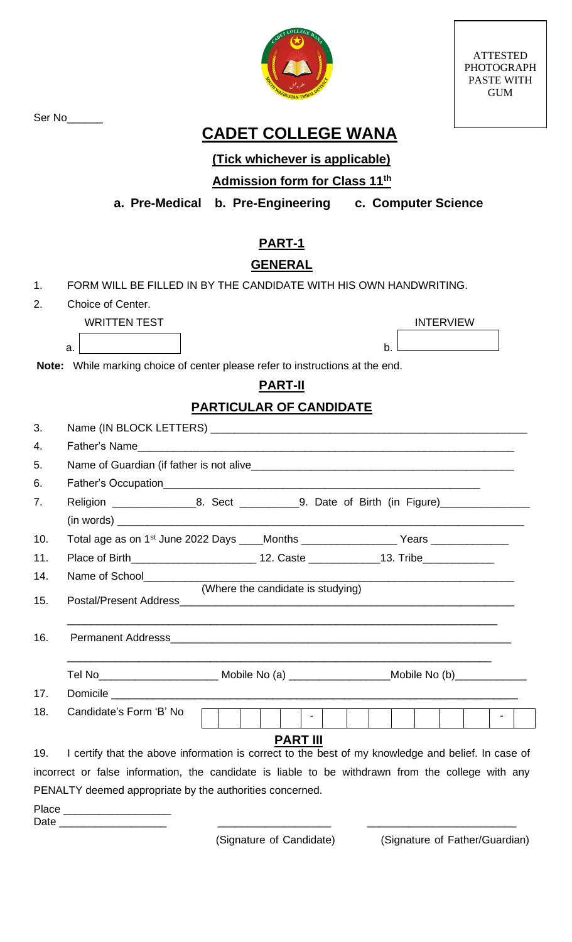ATTESTED PHOTOGRAPH PASTE WITH GUM



Ser No<sub>\_\_\_\_\_\_\_</sub>

# **CADET COLLEGE WANA**

## **(Tick whichever is applicable)**

### **Admission form for Class 11th**

**a. Pre-Medical b. Pre-Engineering c. Computer Science**

# **PART-1**

#### **GENERAL**

|    | FORM WILL BE FILLED IN BY THE CANDIDATE WITH HIS OWN HANDWRITING. |
|----|-------------------------------------------------------------------|
| 2. | Choice of Center.                                                 |

#### WRITTEN TEST **INTERVIEW**

| ∽<br>∼<br>u. |  |
|--------------|--|

**Note:** While marking choice of center please refer to instructions at the end.

### **PART-II**

### **PARTICULAR OF CANDIDATE**

| 3.  |                                                                                                            |  |                                   |  |  |  |  |  |  |  |                 |  |
|-----|------------------------------------------------------------------------------------------------------------|--|-----------------------------------|--|--|--|--|--|--|--|-----------------|--|
| 4.  |                                                                                                            |  |                                   |  |  |  |  |  |  |  |                 |  |
| 5.  |                                                                                                            |  |                                   |  |  |  |  |  |  |  |                 |  |
| 6.  |                                                                                                            |  |                                   |  |  |  |  |  |  |  |                 |  |
| 7.  | Religion __________________8. Sect _____________9. Date of Birth (in Figure)_______________________        |  |                                   |  |  |  |  |  |  |  |                 |  |
|     |                                                                                                            |  |                                   |  |  |  |  |  |  |  |                 |  |
| 10. | Total age as on 1 <sup>st</sup> June 2022 Days ____Months _____________________Years _______________       |  |                                   |  |  |  |  |  |  |  |                 |  |
| 11. |                                                                                                            |  |                                   |  |  |  |  |  |  |  |                 |  |
| 14. |                                                                                                            |  |                                   |  |  |  |  |  |  |  |                 |  |
| 15. |                                                                                                            |  | (Where the candidate is studying) |  |  |  |  |  |  |  |                 |  |
|     |                                                                                                            |  |                                   |  |  |  |  |  |  |  |                 |  |
| 16. |                                                                                                            |  |                                   |  |  |  |  |  |  |  |                 |  |
|     | Tel No__________________________________Mobile No (a) __________________________Mobile No (b)_____________ |  |                                   |  |  |  |  |  |  |  |                 |  |
| 17. |                                                                                                            |  |                                   |  |  |  |  |  |  |  |                 |  |
| 18. | Candidate's Form 'B' No                                                                                    |  |                                   |  |  |  |  |  |  |  | $\sim$ 10 $\pm$ |  |
| 19. | I certify that the above information is correct to the best of my knowledge and belief. In case of         |  | <b>PART III</b>                   |  |  |  |  |  |  |  |                 |  |
|     | incorrect or false information, the candidate is liable to be withdrawn from the college with any          |  |                                   |  |  |  |  |  |  |  |                 |  |
|     | PENALTY deemed appropriate by the authorities concerned.                                                   |  |                                   |  |  |  |  |  |  |  |                 |  |
|     | Date _____________________                                                                                 |  |                                   |  |  |  |  |  |  |  |                 |  |

(Signature of Candidate) (Signature of Father/Guardian)